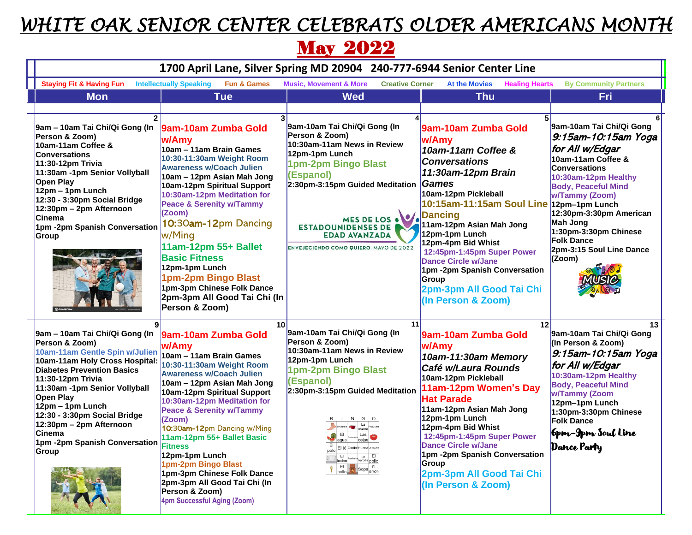## *WHITE OAK SENIOR CENTER CELEBRATS OLDER AMERICANS MONTH*

## **May 2022**

| 1700 April Lane, Silver Spring MD 20904 240-777-6944 Senior Center Line                                                                                                                                                                                                                                                                                                                  |                                                                                                                                                                                                                                                                                                                                                                                                                                                                                                                          |                                                                                                                                                                                                                                                                                                                                           |                                                                                                                                                                                                                                                                                                                                                                                                                                    |                                                                                                                                                                                                                                                                                                                            |  |
|------------------------------------------------------------------------------------------------------------------------------------------------------------------------------------------------------------------------------------------------------------------------------------------------------------------------------------------------------------------------------------------|--------------------------------------------------------------------------------------------------------------------------------------------------------------------------------------------------------------------------------------------------------------------------------------------------------------------------------------------------------------------------------------------------------------------------------------------------------------------------------------------------------------------------|-------------------------------------------------------------------------------------------------------------------------------------------------------------------------------------------------------------------------------------------------------------------------------------------------------------------------------------------|------------------------------------------------------------------------------------------------------------------------------------------------------------------------------------------------------------------------------------------------------------------------------------------------------------------------------------------------------------------------------------------------------------------------------------|----------------------------------------------------------------------------------------------------------------------------------------------------------------------------------------------------------------------------------------------------------------------------------------------------------------------------|--|
| <b>Staying Fit &amp; Having Fun</b>                                                                                                                                                                                                                                                                                                                                                      | <b>Intellectually Speaking</b><br><b>Fun &amp; Games</b>                                                                                                                                                                                                                                                                                                                                                                                                                                                                 | <b>Music, Movement &amp; More</b><br><b>Creative Corner</b>                                                                                                                                                                                                                                                                               | <b>At the Movies</b><br><b>Healing Hearts</b>                                                                                                                                                                                                                                                                                                                                                                                      | <b>By Community Partners</b>                                                                                                                                                                                                                                                                                               |  |
| <b>Mon</b>                                                                                                                                                                                                                                                                                                                                                                               | <b>Tue</b>                                                                                                                                                                                                                                                                                                                                                                                                                                                                                                               | <b>Wed</b>                                                                                                                                                                                                                                                                                                                                | <b>Thu</b>                                                                                                                                                                                                                                                                                                                                                                                                                         | Fri                                                                                                                                                                                                                                                                                                                        |  |
| $\overline{2}$<br>9am - 10am Tai Chi/Qi Gong (In<br>Person & Zoom)<br>10am-11am Coffee &<br><b>Conversations</b><br>11:30-12pm Trivia<br>11:30am -1pm Senior Vollyball<br>Open Play<br>$12pm - 1pm$ Lunch<br>$12:30 - 3:30$ pm Social Bridge<br>12:30pm - 2pm Afternoon<br><b>Cinema</b><br>1pm -2pm Spanish Conversation<br>Group                                                       | 9am-10am Zumba Gold<br>lw/Amv<br>10am - 11am Brain Games<br>10:30-11:30am Weight Room<br><b>Awareness w/Coach Julien</b><br>10am – 12pm Asian Mah Jong<br>10am-12pm Spiritual Support<br>10:30am-12pm Meditation for<br>Peace & Serenity w/Tammy<br>(Zoom)<br>10:30am-12pm Dancing<br>w/Ming<br>11am-12pm 55+ Ballet<br><b>Basic Fitness</b><br>12pm-1pm Lunch<br>1pm-2pm Bingo Blast<br>1pm-3pm Chinese Folk Dance<br>2pm-3pm All Good Tai Chi (In                                                                      | 9am-10am Tai Chi/Qi Gong (In<br>Person & Zoom)<br>10:30am-11am News in Review<br>12pm-1pm Lunch<br>1pm-2pm Bingo Blast<br>(Espanol)<br>2:30pm-3:15pm Guided Meditation<br>MES DE LOS . V.<br><b>ESTADOUNIDENSES DE</b><br><b>EDAD AVANZADA</b><br><b>ENVEJECIENDO COMO QUIERO: MAYO DE 2022</b>                                           | 9am-10am Zumba Gold<br>w/Amy<br>10am-11am Coffee &<br><b>Conversations</b><br>11:30am-12pm Brain<br><b>Games</b><br>10am-12pm Pickleball<br>10:15am-11:15am Soul Line 12pm-1pm Lunch<br><b>Dancing</b><br>11am-12pm Asian Mah Jong<br>12pm-1pm Lunch<br>12pm-4pm Bid Whist<br>12:45pm-1:45pm Super Power<br><b>Dance Circle w/Jane</b><br>1pm -2pm Spanish Conversation<br>Group<br>2pm-3pm All Good Tai Chi<br>(In Person & Zoom) | 9am-10am Tai Chi/Qi Gong<br>9:15am-10:15am Yoga<br>for All w/Edgar<br>10am-11am Coffee &<br><b>Conversations</b><br>10:30am-12pm Healthy<br><b>Body, Peaceful Mind</b><br><b>w/Tammy (Zoom)</b><br>12:30pm-3:30pm American<br>Mah Jong<br>1:30pm-3:30pm Chinese<br><b>Folk Dance</b><br>2pm-3:15 Soul Line Dance<br>(Zoom) |  |
| $\mathbf{g}$<br>9am - 10am Tai Chi/Qi Gong (In<br>Person & Zoom)<br>10am-11am Gentle Spin w/Julien<br>10am-11am Holy Cross Hospital:<br><b>Diabetes Prevention Basics</b><br>11:30-12pm Trivia<br>11:30am -1pm Senior Vollyball<br>Open Play<br>$12pm - 1pm$ Lunch<br>$12:30 - 3:30$ pm Social Bridge<br>$12:30$ pm – 2pm Afternoon<br>lCinema<br>1pm -2pm Spanish Conversation<br>Group | Person & Zoom)<br>10<br>9am-10am Zumba Gold<br>w/Amy<br>10am - 11am Brain Games<br>10:30-11:30am Weight Room<br><b>Awareness w/Coach Julien</b><br>10am – 12pm Asian Mah Jong<br>10am-12pm Spiritual Support<br>10:30am-12pm Meditation for<br>Peace & Serenity w/Tammy<br>(Zoom)<br>10:30am-12pm Dancing w/Ming<br>11am-12pm 55+ Ballet Basic<br><b>Fitness</b><br>12pm-1pm Lunch<br>1pm-2pm Bingo Blast<br>1pm-3pm Chinese Folk Dance<br>2pm-3pm All Good Tai Chi (In<br>Person & Zoom)<br>4pm Successful Aging (Zoom) | 11<br>9am-10am Tai Chi/Qi Gong (In<br>Person & Zoom)<br>10:30am-11am News in Review<br>12pm-1pm Lunch<br>1pm-2pm Bingo Blast<br>(Espanol)<br>2:30pm-3:15pm Guided Meditation<br>N G<br><b>OB</b> EI<br>Las<br>cejas<br>El té Gratis! Huerto<br>La El<br>barbilla pollo<br>E<br>tocinol<br>$E_1$ <sub>pollo</sub><br>Sopa <sub>jamón</sub> | 12<br>9am-10am Zumba Gold<br>w/Amy<br>10am-11:30am Memory<br>Café w/Laura Rounds<br>10am-12pm Pickleball<br>11am-12pm Women's Day<br><b>Hat Parade</b><br>11am-12pm Asian Mah Jong<br>12pm-1pm Lunch<br>12pm-4pm Bid Whist<br>12:45pm-1:45pm Super Power<br><b>Dance Circle w/Jane</b><br>1pm -2pm Spanish Conversation<br>Group<br>2pm-3pm All Good Tai Chi<br>(In Person & Zoom)                                                 | 13<br>9am-10am Tai Chi/Qi Gong<br>(In Person & Zoom)<br>9:15am-10:15am Yoga<br>for All w/Edgar<br>10:30am-12pm Healthy<br><b>Body, Peaceful Mind</b><br>w/Tammy (Zoom<br>12pm-1pm Lunch<br>1:30pm-3:30pm Chinese<br><b>Folk Dance</b><br>6pm-9pm Soul Line<br>Dance Party                                                  |  |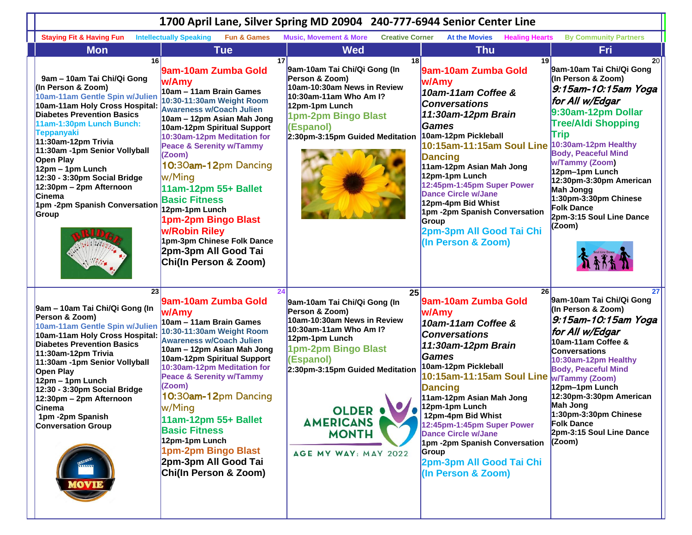| 1700 April Lane, Silver Spring MD 20904 240-777-6944 Senior Center Line                                                                                                                                                                                                                                                                                                                                                                             |                                                                                                                                                                                                                                                                                                                                                                                                                                                                                                       |                                                                                                                                                                                                                                                                                       |                                                                                                                                                                                                                                                                                                                                                                                                                                                  |                                                                                                                                                                                                                                                                                                                                                                                    |  |
|-----------------------------------------------------------------------------------------------------------------------------------------------------------------------------------------------------------------------------------------------------------------------------------------------------------------------------------------------------------------------------------------------------------------------------------------------------|-------------------------------------------------------------------------------------------------------------------------------------------------------------------------------------------------------------------------------------------------------------------------------------------------------------------------------------------------------------------------------------------------------------------------------------------------------------------------------------------------------|---------------------------------------------------------------------------------------------------------------------------------------------------------------------------------------------------------------------------------------------------------------------------------------|--------------------------------------------------------------------------------------------------------------------------------------------------------------------------------------------------------------------------------------------------------------------------------------------------------------------------------------------------------------------------------------------------------------------------------------------------|------------------------------------------------------------------------------------------------------------------------------------------------------------------------------------------------------------------------------------------------------------------------------------------------------------------------------------------------------------------------------------|--|
| <b>Staying Fit &amp; Having Fun</b>                                                                                                                                                                                                                                                                                                                                                                                                                 | <b>Intellectually Speaking</b><br><b>Fun &amp; Games</b>                                                                                                                                                                                                                                                                                                                                                                                                                                              | <b>Music, Movement &amp; More</b><br><b>Creative Corner</b>                                                                                                                                                                                                                           | <b>At the Movies</b><br><b>Healing Hearts</b>                                                                                                                                                                                                                                                                                                                                                                                                    | <b>By Community Partners</b>                                                                                                                                                                                                                                                                                                                                                       |  |
| <b>Mon</b>                                                                                                                                                                                                                                                                                                                                                                                                                                          | <b>Tue</b>                                                                                                                                                                                                                                                                                                                                                                                                                                                                                            | <b>Wed</b>                                                                                                                                                                                                                                                                            | <b>Thu</b>                                                                                                                                                                                                                                                                                                                                                                                                                                       | Fri                                                                                                                                                                                                                                                                                                                                                                                |  |
| 16 <sup>1</sup><br>9am - 10am Tai Chi/Qi Gong<br>(In Person & Zoom)<br>10am-11am Gentle Spin w/Julien<br>10am-11am Holy Cross Hospital:<br><b>Diabetes Prevention Basics</b><br>11am-1:30pm Lunch Bunch:<br><b>Teppanyaki</b><br>11:30am-12pm Trivia<br>11:30am -1pm Senior Vollyball<br>Open Play<br>12pm - 1pm Lunch<br>12:30 - 3:30pm Social Bridge<br>12:30pm - 2pm Afternoon<br><b>Cinema</b><br>1pm -2pm Spanish Conversation<br><b>Group</b> | 17<br>9am-10am Zumba Gold<br>w/Amy<br>10am - 11am Brain Games<br>10:30-11:30am Weight Room<br><b>Awareness w/Coach Julien</b><br>10am - 12pm Asian Mah Jong<br>10am-12pm Spiritual Support<br>10:30am-12pm Meditation for<br><b>Peace &amp; Serenity w/Tammy</b><br>(Zoom)<br>10:30am-12pm Dancing<br>w/Ming<br>11am-12pm 55+ Ballet<br><b>Basic Fitness</b><br>12pm-1pm Lunch<br>1pm-2pm Bingo Blast<br>w/Robin Riley<br>1pm-3pm Chinese Folk Dance<br>2pm-3pm All Good Tai<br>Chi(In Person & Zoom) | 18<br>9am-10am Tai Chi/Qi Gong (In<br>Person & Zoom)<br>10am-10:30am News in Review<br>10:30am-11am Who Am I?<br>12pm-1pm Lunch<br>1pm-2pm Bingo Blast<br>(Espanol)<br>2:30pm-3:15pm Guided Meditation                                                                                | 19 I<br>9am-10am Zumba Gold<br>w/Amy<br>10am-11am Coffee &<br><b>Conversations</b><br>11:30am-12pm Brain<br><b>Games</b><br>10am-12pm Pickleball<br>10:15am-11:15am Soul Line 10:30am-12pm Healthy<br><b>Dancing</b><br>11am-12pm Asian Mah Jong<br>12pm-1pm Lunch<br>12:45pm-1:45pm Super Power<br><b>Dance Circle w/Jane</b><br>12pm-4pm Bid Whist<br>1pm -2pm Spanish Conversation<br>Group<br>2pm-3pm All Good Tai Chi<br>(In Person & Zoom) | 20 <sub>1</sub><br>9am-10am Tai Chi/Qi Gong<br>(In Person & Zoom)<br>9:15am-10:15am Yoga<br>for All w/Edgar<br>9:30am-12pm Dollar<br><b>Tree/Aldi Shopping</b><br>Trip<br><b>Body, Peaceful Mind</b><br><b>w/Tammy (Zoom)</b><br>12pm-1pm Lunch<br>12:30pm-3:30pm American<br>Mah Jongg<br>1:30pm-3:30pm Chinese<br><b>Folk Dance</b><br>2pm-3:15 Soul Line Dance<br>(Zoom)        |  |
| 23<br>9am - 10am Tai Chi/Qi Gong (In<br>Person & Zoom)<br>10am-11am Gentle Spin w/Julien<br>10am-11am Holy Cross Hospital:<br><b>Diabetes Prevention Basics</b><br>11:30am-12pm Trivia<br>11:30am -1pm Senior Vollyball<br>Open Play<br>12pm - 1pm Lunch<br>12:30 - 3:30pm Social Bridge<br>12:30pm - 2pm Afternoon<br>∪ınema<br>1pm -2pm Spanish<br><b>Conversation Group</b><br>MOVIE                                                             | 24<br>9am-10am Zumba Gold<br>w/Amy<br>10am - 11am Brain Games<br>10:30-11:30am Weight Room<br><b>Awareness w/Coach Julien</b><br>10am - 12pm Asian Mah Jong<br>10am-12pm Spiritual Support<br>10:30am-12pm Meditation for<br><b>Peace &amp; Serenity w/Tammy</b><br>(Zoom)<br>10:30am-12pm Dancing<br>w/Ming<br>11am-12pm 55+ Ballet<br><b>Basic Fitness</b><br>12pm-1pm Lunch<br>1pm-2pm Bingo Blast<br>2pm-3pm All Good Tai<br>Chi(In Person & Zoom)                                                | 25<br>9am-10am Tai Chi/Qi Gong (In<br>Person & Zoom)<br>10am-10:30am News in Review<br>10:30am-11am Who Am I?<br>12pm-1pm Lunch<br>1pm-2pm Bingo Blast<br>(Espanol)<br>2:30pm-3:15pm Guided Meditation<br><b>OLDER OF</b><br><b>AMERICANS</b><br><b>MONTH</b><br>AGE MY WAY: MAY 2022 | 26<br>9am-10am Zumba Gold<br>w/Amy<br>10am-11am Coffee &<br><b>Conversations</b><br>11:30am-12pm Brain<br>Games<br>10am-12pm Pickleball<br>10:15am-11:15am Soul Line<br><b>Dancing</b><br>11am-12pm Asian Mah Jong<br>12pm-1pm Lunch<br>12pm-4pm Bid Whist<br>12:45pm-1:45pm Super Power<br><b>Dance Circle w/Jane</b><br>1pm -2pm Spanish Conversation<br>Group<br>2pm-3pm All Good Tai Chi<br>(In Person & Zoom)                               | 27<br>9am-10am Tai Chi/Qi Gong<br>(In Person & Zoom)<br>9:15am-10:15am Yoga<br>for All w/Edgar<br>10am-11am Coffee &<br><b>Conversations</b><br>10:30am-12pm Healthy<br><b>Body, Peaceful Mind</b><br><b>w/Tammy (Zoom)</b><br>12pm-1pm Lunch<br>12:30pm-3:30pm American<br><b>Mah Jong</b><br>$1:30$ pm-3:30pm Chinese<br><b>Folk Dance</b><br>2pm-3:15 Soul Line Dance<br>(Zoom) |  |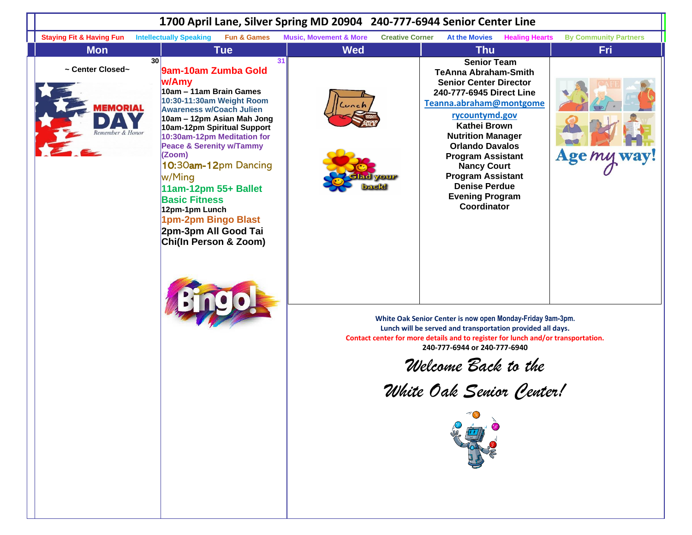|                                                            | 1700 April Lane, Silver Spring MD 20904 240-777-6944 Senior Center Line                                                                                                                                                                                                                                                                                                                                                                                                   |                                                             |                                                                                                                                                                                                                                                                                                                                                                                                                                                                                                                                                                                                                                                                                     |                              |  |  |  |  |
|------------------------------------------------------------|---------------------------------------------------------------------------------------------------------------------------------------------------------------------------------------------------------------------------------------------------------------------------------------------------------------------------------------------------------------------------------------------------------------------------------------------------------------------------|-------------------------------------------------------------|-------------------------------------------------------------------------------------------------------------------------------------------------------------------------------------------------------------------------------------------------------------------------------------------------------------------------------------------------------------------------------------------------------------------------------------------------------------------------------------------------------------------------------------------------------------------------------------------------------------------------------------------------------------------------------------|------------------------------|--|--|--|--|
| <b>Staying Fit &amp; Having Fun</b>                        | <b>Fun &amp; Games</b><br><b>Intellectually Speaking</b>                                                                                                                                                                                                                                                                                                                                                                                                                  | <b>Music, Movement &amp; More</b><br><b>Creative Corner</b> | <b>At the Movies</b><br><b>Healing Hearts</b>                                                                                                                                                                                                                                                                                                                                                                                                                                                                                                                                                                                                                                       | <b>By Community Partners</b> |  |  |  |  |
| <b>Mon</b>                                                 | <b>Tue</b>                                                                                                                                                                                                                                                                                                                                                                                                                                                                | <b>Wed</b>                                                  | <b>Thu</b>                                                                                                                                                                                                                                                                                                                                                                                                                                                                                                                                                                                                                                                                          | <b>Fri</b>                   |  |  |  |  |
| ~ Center Closed~<br><b><i>AEMORIAL</i></b><br>mber & Honor | 30 <sup>1</sup><br>31<br>9am-10am Zumba Gold<br>w/Amy<br>10am - 11am Brain Games<br>10:30-11:30am Weight Room<br><b>Awareness w/Coach Julien</b><br>10am – 12pm Asian Mah Jong<br>10am-12pm Spiritual Support<br>10:30am-12pm Meditation for<br><b>Peace &amp; Serenity w/Tammy</b><br>(Zoom)<br>10:30am-12pm Dancing<br>w/Ming<br>11am-12pm 55+ Ballet<br><b>Basic Fitness</b><br>12pm-1pm Lunch<br>1pm-2pm Bingo Blast<br>2pm-3pm All Good Tai<br>Chi(In Person & Zoom) | Lunch                                                       | <b>Senior Team</b><br><b>TeAnna Abraham-Smith</b><br><b>Senior Center Director</b><br>240-777-6945 Direct Line<br>Teanna.abraham@montgome<br>rycountymd.gov<br>Kathei Brown<br><b>Nutrition Manager</b><br><b>Orlando Davalos</b><br><b>Program Assistant</b><br><b>Nancy Court</b><br><b>Program Assistant</b><br><b>Denise Perdue</b><br><b>Evening Program</b><br>Coordinator<br>White Oak Senior Center is now open Monday-Friday 9am-3pm.<br>Lunch will be served and transportation provided all days.<br>Contact center for more details and to register for lunch and/or transportation.<br>240-777-6944 or 240-777-6940<br>Welcome Back to the<br>White Oak Senior Center! | Age my way!                  |  |  |  |  |